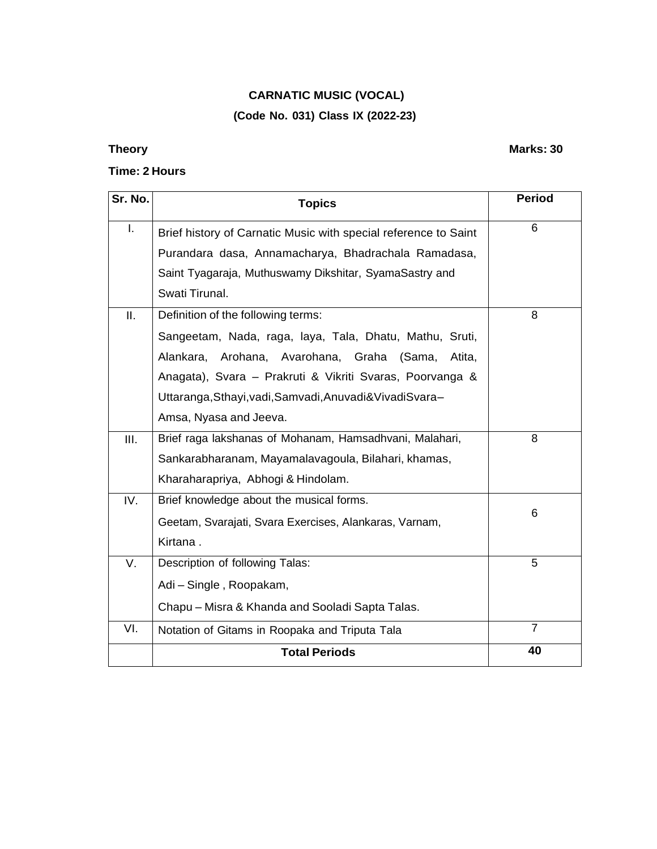## **CARNATIC MUSIC (VOCAL) (Code No. 031) Class IX (2022-23)**

### **Time: 2 Hours**

| Sr. No. | <b>Topics</b>                                                   | <b>Period</b>  |
|---------|-----------------------------------------------------------------|----------------|
| I.      | Brief history of Carnatic Music with special reference to Saint | 6              |
|         | Purandara dasa, Annamacharya, Bhadrachala Ramadasa,             |                |
|         | Saint Tyagaraja, Muthuswamy Dikshitar, SyamaSastry and          |                |
|         | Swati Tirunal.                                                  |                |
| II.     | Definition of the following terms:                              | 8              |
|         | Sangeetam, Nada, raga, laya, Tala, Dhatu, Mathu, Sruti,         |                |
|         | Alankara, Arohana, Avarohana, Graha<br>(Sama,<br>Atita,         |                |
|         | Anagata), Svara - Prakruti & Vikriti Svaras, Poorvanga &        |                |
|         | Uttaranga, Sthayi, vadi, Samvadi, Anuvadi & Vivadi Svara-       |                |
|         | Amsa, Nyasa and Jeeva.                                          |                |
| III.    | Brief raga lakshanas of Mohanam, Hamsadhvani, Malahari,         | 8              |
|         | Sankarabharanam, Mayamalavagoula, Bilahari, khamas,             |                |
|         | Kharaharapriya, Abhogi & Hindolam.                              |                |
| IV.     | Brief knowledge about the musical forms.                        |                |
|         | Geetam, Svarajati, Svara Exercises, Alankaras, Varnam,          | 6              |
|         | Kirtana.                                                        |                |
| V.      | Description of following Talas:                                 | 5              |
|         | Adi - Single, Roopakam,                                         |                |
|         | Chapu - Misra & Khanda and Sooladi Sapta Talas.                 |                |
| VI.     | Notation of Gitams in Roopaka and Triputa Tala                  | $\overline{7}$ |
|         | <b>Total Periods</b>                                            | 40             |

## **Theory Marks: 30**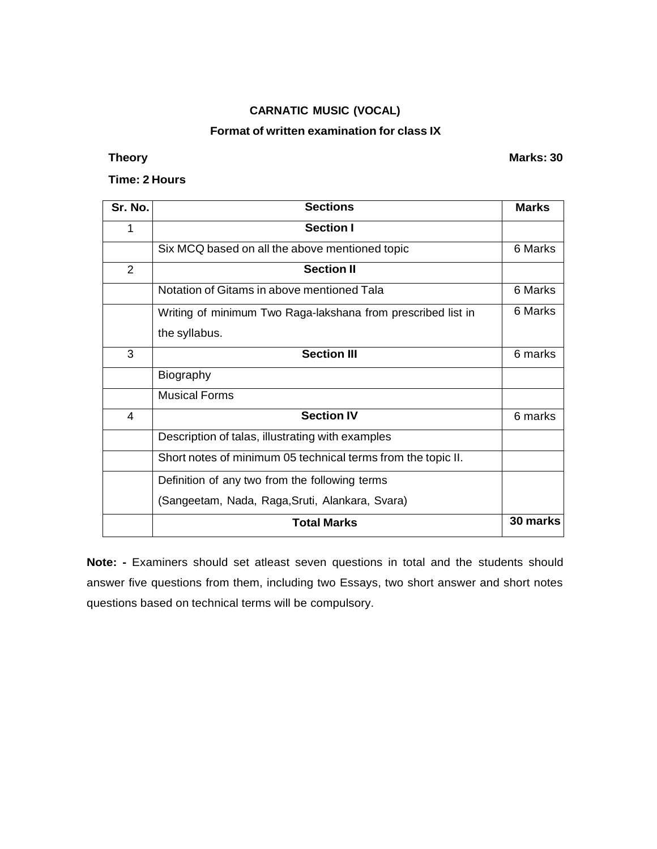### **Format of written examination for class IX**

**Theory Marks: 30**

### **Time: 2 Hours**

| <b>Sections</b>                                              | <b>Marks</b> |
|--------------------------------------------------------------|--------------|
| Section I                                                    |              |
| Six MCQ based on all the above mentioned topic               | 6 Marks      |
| <b>Section II</b>                                            |              |
| Notation of Gitams in above mentioned Tala                   | 6 Marks      |
| Writing of minimum Two Raga-lakshana from prescribed list in | 6 Marks      |
| the syllabus.                                                |              |
| <b>Section III</b>                                           | 6 marks      |
| Biography                                                    |              |
| <b>Musical Forms</b>                                         |              |
| <b>Section IV</b>                                            | 6 marks      |
| Description of talas, illustrating with examples             |              |
| Short notes of minimum 05 technical terms from the topic II. |              |
| Definition of any two from the following terms               |              |
| (Sangeetam, Nada, Raga, Sruti, Alankara, Svara)              |              |
| <b>Total Marks</b>                                           | 30 marks     |
|                                                              |              |

**Note: -** Examiners should set atleast seven questions in total and the students should answer five questions from them, including two Essays, two short answer and short notes questions based on technical terms will be compulsory.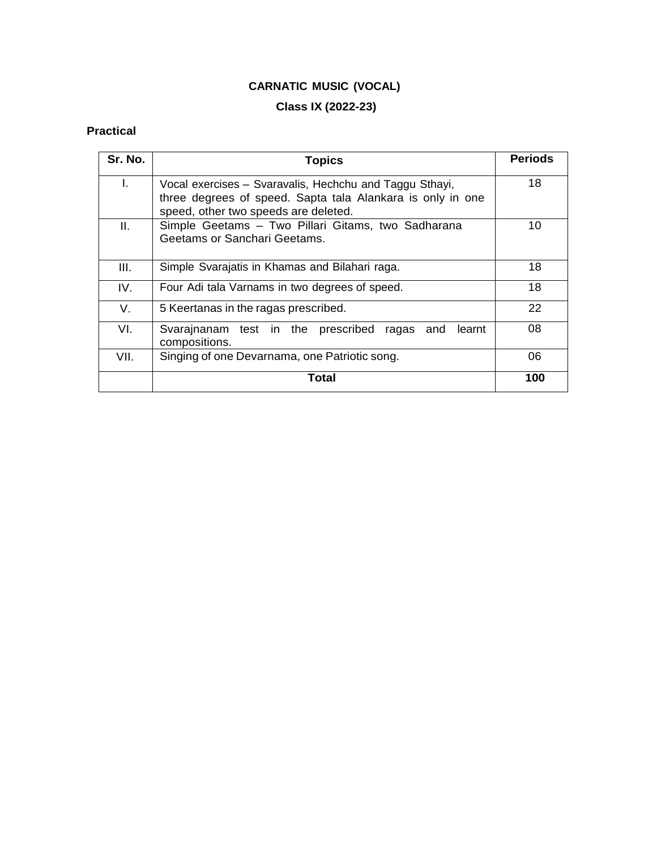## **Class IX (2022-23)**

## **Practical**

| Sr. No. | <b>Topics</b>                                                                                                                                                 | <b>Periods</b> |
|---------|---------------------------------------------------------------------------------------------------------------------------------------------------------------|----------------|
| I.      | Vocal exercises - Svaravalis, Hechchu and Taggu Sthayi,<br>three degrees of speed. Sapta tala Alankara is only in one<br>speed, other two speeds are deleted. | 18             |
| Ш.      | Simple Geetams - Two Pillari Gitams, two Sadharana<br>Geetams or Sanchari Geetams.                                                                            | 10             |
| III.    | Simple Svarajatis in Khamas and Bilahari raga.                                                                                                                | 18             |
| IV.     | Four Adi tala Varnams in two degrees of speed.                                                                                                                | 18             |
| V.      | 5 Keertanas in the ragas prescribed.                                                                                                                          | 22             |
| VI.     | Svarajnanam test in the prescribed<br>learnt<br>ragas<br>and<br>compositions.                                                                                 | 08             |
| VII.    | Singing of one Devarnama, one Patriotic song.                                                                                                                 | 06             |
|         | Total                                                                                                                                                         | 100            |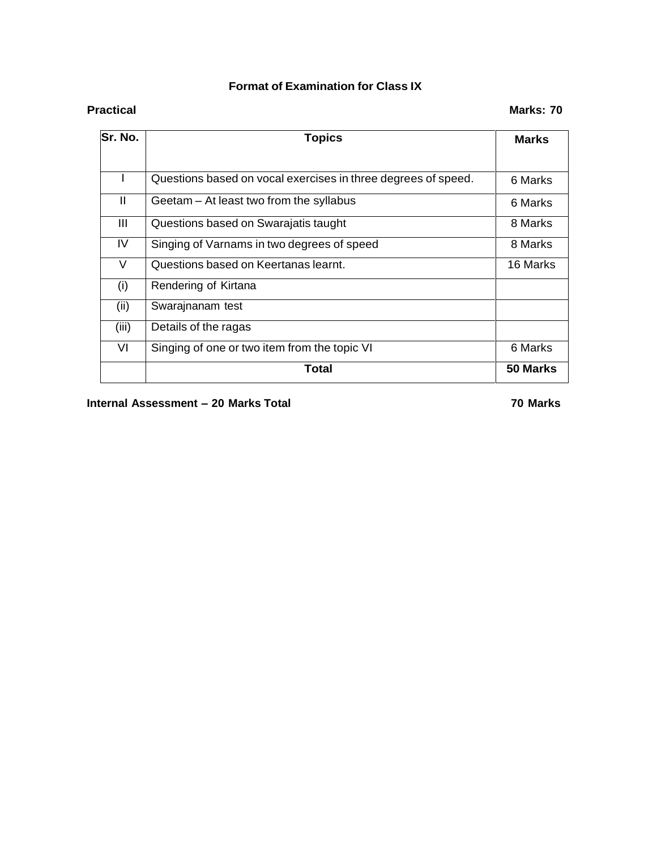## **Format of Examination for Class IX**

| Sr. No.      | <b>Topics</b>                                                 | <b>Marks</b> |
|--------------|---------------------------------------------------------------|--------------|
|              |                                                               |              |
|              | Questions based on vocal exercises in three degrees of speed. | 6 Marks      |
| $\mathbf{H}$ | Geetam – At least two from the syllabus                       | 6 Marks      |
| Ш            | Questions based on Swarajatis taught                          | 8 Marks      |
| IV           | Singing of Varnams in two degrees of speed                    | 8 Marks      |
| V            | Questions based on Keertanas learnt.                          | 16 Marks     |
| (i)          | Rendering of Kirtana                                          |              |
| (ii)         | Swarajnanam test                                              |              |
| (iii)        | Details of the ragas                                          |              |
| VI           | Singing of one or two item from the topic VI                  | 6 Marks      |
|              | Total                                                         | 50 Marks     |

**Internal Assessment – 20 Marks Total 70 Marks**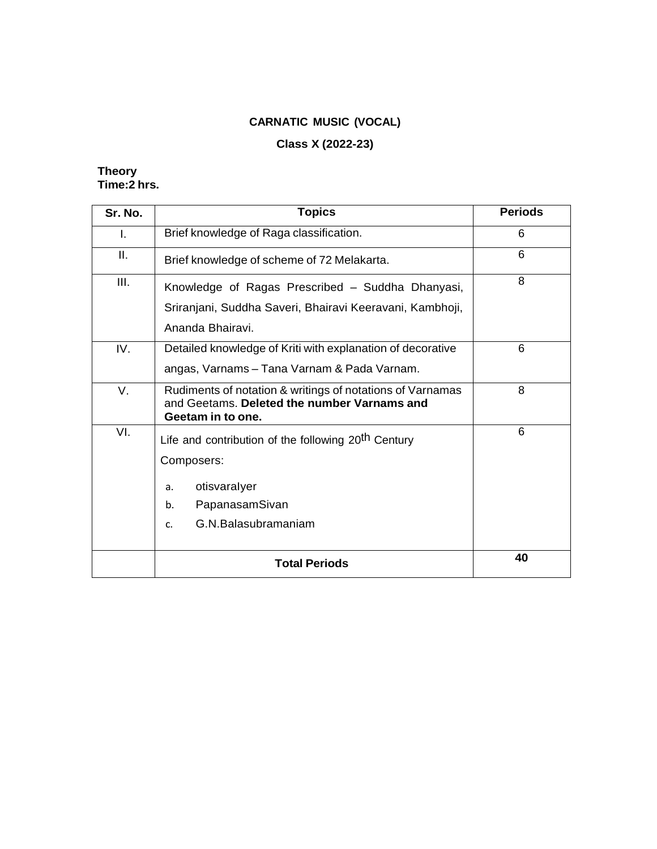## **Class X (2022-23)**

### **Theory Time:2 hrs.**

| Sr. No. | <b>Topics</b>                                                                                                                                            | <b>Periods</b> |
|---------|----------------------------------------------------------------------------------------------------------------------------------------------------------|----------------|
| L.      | Brief knowledge of Raga classification.                                                                                                                  | 6              |
| Ш.      | Brief knowledge of scheme of 72 Melakarta.                                                                                                               | 6              |
| III.    | Knowledge of Ragas Prescribed - Suddha Dhanyasi,<br>Sriranjani, Suddha Saveri, Bhairavi Keeravani, Kambhoji,<br>Ananda Bhairavi.                         | 8              |
| IV.     | Detailed knowledge of Kriti with explanation of decorative<br>angas, Varnams - Tana Varnam & Pada Varnam.                                                | 6              |
| V.      | Rudiments of notation & writings of notations of Varnamas<br>and Geetams. Deleted the number Varnams and<br>Geetam in to one.                            | 8              |
| VI.     | Life and contribution of the following 20 <sup>th</sup> Century<br>Composers:<br>otisvaralyer<br>a.<br>PapanasamSivan<br>b.<br>G.N.Balasubramaniam<br>c. | 6              |
|         | <b>Total Periods</b>                                                                                                                                     | 40             |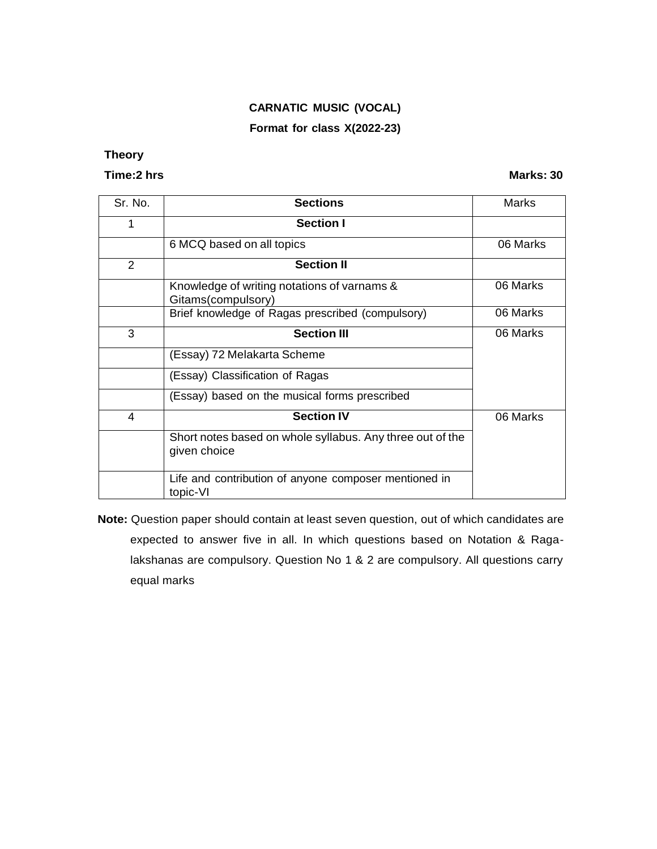### **Format for class X(2022-23)**

## **Theory**

#### **Time:2 hrs Marks: 30**

| Sr. No. | <b>Sections</b>                                                           | Marks    |
|---------|---------------------------------------------------------------------------|----------|
| 1       | <b>Section I</b>                                                          |          |
|         | 6 MCQ based on all topics                                                 | 06 Marks |
| 2       | <b>Section II</b>                                                         |          |
|         | Knowledge of writing notations of varnams &<br>Gitams(compulsory)         | 06 Marks |
|         | Brief knowledge of Ragas prescribed (compulsory)                          | 06 Marks |
| 3       | <b>Section III</b>                                                        | 06 Marks |
|         | (Essay) 72 Melakarta Scheme                                               |          |
|         | (Essay) Classification of Ragas                                           |          |
|         | (Essay) based on the musical forms prescribed                             |          |
| 4       | <b>Section IV</b>                                                         | 06 Marks |
|         | Short notes based on whole syllabus. Any three out of the<br>given choice |          |
|         | Life and contribution of anyone composer mentioned in<br>topic-VI         |          |

**Note:** Question paper should contain at least seven question, out of which candidates are expected to answer five in all. In which questions based on Notation & Ragalakshanas are compulsory. Question No 1 & 2 are compulsory. All questions carry equal marks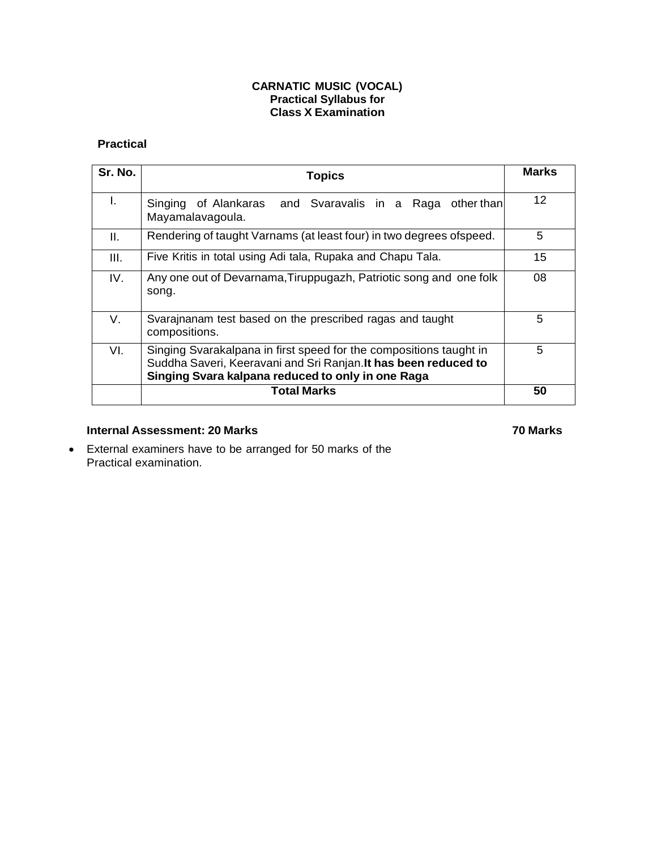#### **CARNATIC MUSIC (VOCAL) Practical Syllabus for Class X Examination**

### **Practical**

| Sr. No. | <b>Topics</b>                                                                                                                                                                              | <b>Marks</b> |
|---------|--------------------------------------------------------------------------------------------------------------------------------------------------------------------------------------------|--------------|
| I.      | Singing of Alankaras and Svaravalis in a Raga<br>other than<br>Mayamalavagoula.                                                                                                            | 12           |
| Ш.      | Rendering of taught Varnams (at least four) in two degrees of speed.                                                                                                                       | 5            |
| III.    | Five Kritis in total using Adi tala, Rupaka and Chapu Tala.                                                                                                                                | 15           |
| IV.     | Any one out of Devarnama, Tiruppugazh, Patriotic song and one folk<br>song.                                                                                                                | 08           |
| V.      | Svarajnanam test based on the prescribed ragas and taught<br>compositions.                                                                                                                 | 5            |
| VI.     | Singing Svarakalpana in first speed for the compositions taught in<br>Suddha Saveri, Keeravani and Sri Ranjan. It has been reduced to<br>Singing Svara kalpana reduced to only in one Raga | 5            |
|         | Total Marks                                                                                                                                                                                | 50           |

## **Internal Assessment: 20 Marks 70 Marks**

 External examiners have to be arranged for 50 marks of the Practical examination.